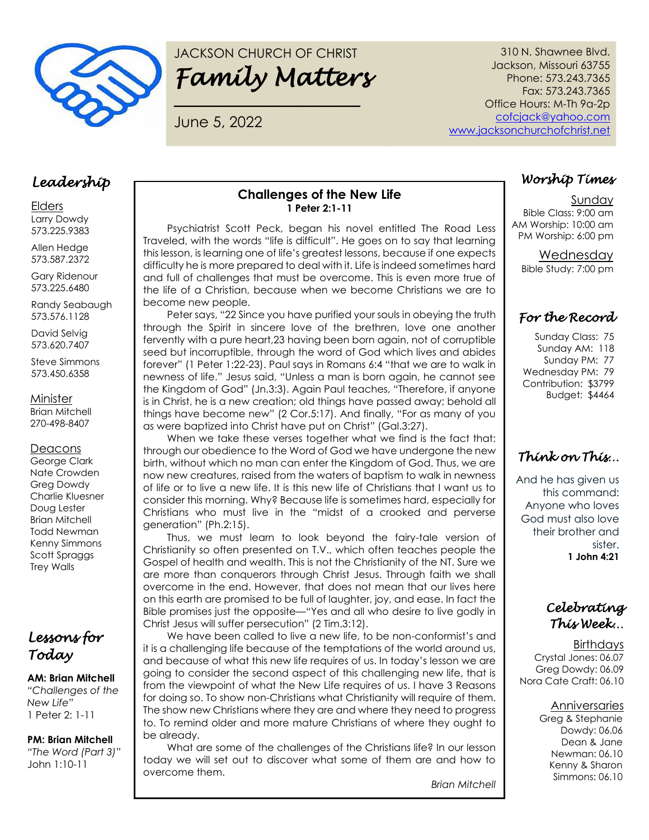

# JACKSON CHURCH OF CHRIST *Family Matters*

**\_\_\_\_\_\_\_\_\_\_\_\_\_\_\_\_\_\_\_\_\_\_\_\_\_\_\_\_\_\_\_\_**

June 5, 2022

310 N. Shawnee Blvd. Jackson, Missouri 63755 Phone: 573.243.7365 Fax: 573.243.7365 Office Hours: M-Th 9a-2p [cofcjack@yahoo.com](mailto:cofcjack@yahoo.com) [www.jacksonchurchofchrist.net](http://www.jacksonchurchofchrist.net/)

### *Leadership*

Elders Larry Dowdy 573.225.9383

Allen Hedge 573.587.2372

Gary Ridenour 573.225.6480

Randy Seabaugh 573.576.1128

David Selvig 573.620.7407

Steve Simmons 573.450.6358

Minister Brian Mitchell

270-498-8407

#### **Deacons**

George Clark Nate Crowden Greg Dowdy Charlie Kluesner Doug Lester Brian Mitchell Todd Newman Kenny Simmons Scott Spraggs Trey Walls

# *Lessons for Today*

#### **AM: Brian Mitchell**

*"Challenges of the New Life"* 1 Peter 2: 1-11

#### **PM: Brian Mitchell**  *"The Word (Part 3)"* John 1:10-11

### **Challenges of the New Life 1 Peter 2:1-11**

Psychiatrist Scott Peck, began his novel entitled The Road Less Traveled, with the words "life is difficult". He goes on to say that learning this lesson, is learning one of life's greatest lessons, because if one expects difficulty he is more prepared to deal with it. Life is indeed sometimes hard and full of challenges that must be overcome. This is even more true of the life of a Christian, because when we become Christians we are to become new people.

Peter says, "22 Since you have purified your souls in obeying the truth through the Spirit in sincere love of the brethren, love one another fervently with a pure heart,23 having been born again, not of corruptible seed but incorruptible, through the word of God which lives and abides forever" (1 Peter 1:22-23). Paul says in Romans 6:4 "that we are to walk in newness of life." Jesus said, "Unless a man is born again, he cannot see the Kingdom of God" (Jn.3:3). Again Paul teaches, "Therefore, if anyone is in Christ, he is a new creation; old things have passed away; behold all things have become new" (2 Cor.5:17). And finally, "For as many of you as were baptized into Christ have put on Christ" (Gal.3:27).

When we take these verses together what we find is the fact that: through our obedience to the Word of God we have undergone the new birth, without which no man can enter the Kingdom of God. Thus, we are now new creatures, raised from the waters of baptism to walk in newness of life or to live a new life. It is this new life of Christians that I want us to consider this morning. Why? Because life is sometimes hard, especially for Christians who must live in the "midst of a crooked and perverse generation" (Ph.2:15).

Thus, we must learn to look beyond the fairy-tale version of Christianity so often presented on T.V., which often teaches people the Gospel of health and wealth. This is not the Christianity of the NT. Sure we are more than conquerors through Christ Jesus. Through faith we shall overcome in the end. However, that does not mean that our lives here on this earth are promised to be full of laughter, joy, and ease. In fact the Bible promises just the opposite—"Yes and all who desire to live godly in Christ Jesus will suffer persecution" (2 Tim.3:12).

We have been called to live a new life, to be non-conformist's and it is a challenging life because of the temptations of the world around us, and because of what this new life requires of us. In today's lesson we are going to consider the second aspect of this challenging new life, that is from the viewpoint of what the New Life requires of us. I have 3 Reasons for doing so. To show non-Christians what Christianity will require of them. The show new Christians where they are and where they need to progress to. To remind older and more mature Christians of where they ought to be already.

What are some of the challenges of the Christians life? In our lesson today we will set out to discover what some of them are and how to overcome them.

*Brian Mitchell*

### *Worship Times*

Sunday Bible Class: 9:00 am AM Worship: 10:00 am PM Worship: 6:00 pm

> Wednesday Bible Study: 7:00 pm

### *For the Record*

Sunday Class: 75 Sunday AM: 118 Sunday PM: 77 Wednesday PM: 79 Contribution: \$3799 Budget: \$4464

# *Think on This…*

And he has given us this command: Anyone who loves God must also love their brother and sister. **1 John 4:21**

### *Celebrating This Week…*

**Birthdays** Crystal Jones: 06.07 Greg Dowdy: 06.09 Nora Cate Craft: 06.10

### Anniversaries

Greg & Stephanie Dowdy: 06.06 Dean & Jane Newman: 06.10 Kenny & Sharon Simmons: 06.10